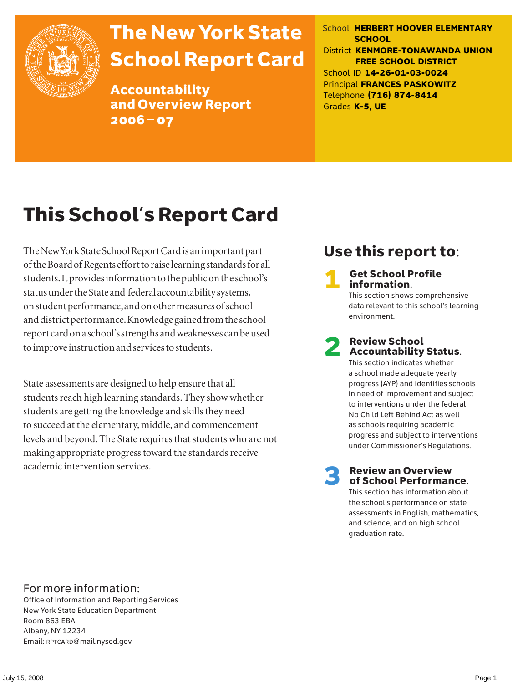

# The New York State School Report Card

Accountability and Overview Report 2006–07

School **HERBERT HOOVER ELEMENTARY SCHOOL** District **KENMORE-TONAWANDA UNION FREE SCHOOL DISTRICT** School ID **14-26-01-03-0024** Principal **FRANCES PASKOWITZ** Telephone **(716) 874-8414** Grades **K-5, UE**

# This School's Report Card

The New York State School Report Card is an important part of the Board of Regents effort to raise learning standards for all students. It provides information to the public on the school's status under the State and federal accountability systems, on student performance, and on other measures of school and district performance. Knowledge gained from the school report card on a school's strengths and weaknesses can be used to improve instruction and services to students.

State assessments are designed to help ensure that all students reach high learning standards. They show whether students are getting the knowledge and skills they need to succeed at the elementary, middle, and commencement levels and beyond. The State requires that students who are not making appropriate progress toward the standards receive academic intervention services.

# Use this report to:

**Get School Profile** information.

This section shows comprehensive data relevant to this school's learning environment.

# 2 Review School Accountability Status.

This section indicates whether a school made adequate yearly progress (AYP) and identifies schools in need of improvement and subject to interventions under the federal No Child Left Behind Act as well as schools requiring academic progress and subject to interventions under Commissioner's Regulations.

**Review an Overview** of School Performance.

This section has information about the school's performance on state assessments in English, mathematics, and science, and on high school graduation rate.

### For more information:

Office of Information and Reporting Services New York State Education Department Room 863 EBA Albany, NY 12234 Email: RPTCARD@mail.nysed.gov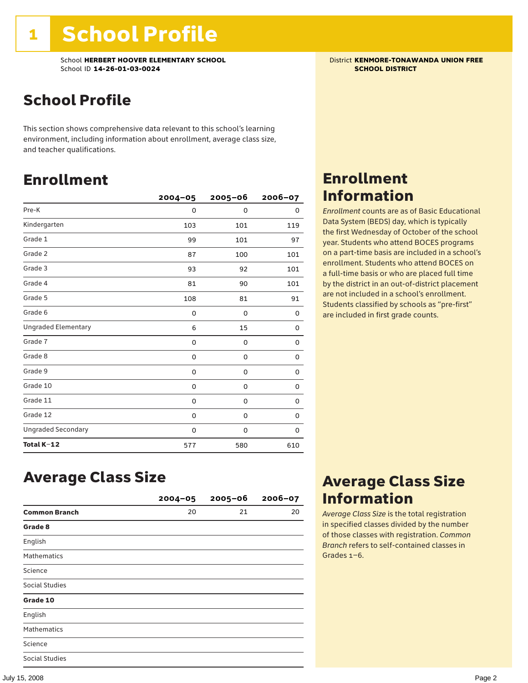School **HERBERT HOOVER ELEMENTARY SCHOOL** District **KENMORE-TONAWANDA UNION FREE**<br>School ID 14-26-01-03-0024 **District Act of Act of Act of Act of Act of Act of SCHOOL DISTRICT** School ID **14-26-01-03-0024** 

# School Profile

This section shows comprehensive data relevant to this school's learning environment, including information about enrollment, average class size, and teacher qualifications.

## Enrollment

|                            | $2004 - 05$ | $2005 - 06$ | 2006-07 |
|----------------------------|-------------|-------------|---------|
| Pre-K                      | 0           | 0           | 0       |
| Kindergarten               | 103         | 101         | 119     |
| Grade 1                    | 99          | 101         | 97      |
| Grade 2                    | 87          | 100         | 101     |
| Grade 3                    | 93          | 92          | 101     |
| Grade 4                    | 81          | 90          | 101     |
| Grade 5                    | 108         | 81          | 91      |
| Grade 6                    | 0           | 0           | 0       |
| <b>Ungraded Elementary</b> | 6           | 15          | 0       |
| Grade 7                    | 0           | $\mathbf 0$ | 0       |
| Grade 8                    | 0           | 0           | 0       |
| Grade 9                    | 0           | 0           | 0       |
| Grade 10                   | 0           | 0           | 0       |
| Grade 11                   | 0           | 0           | 0       |
| Grade 12                   | 0           | 0           | 0       |
| <b>Ungraded Secondary</b>  | 0           | 0           | 0       |
| Total K-12                 | 577         | 580         | 610     |

## Enrollment Information

*Enrollment* counts are as of Basic Educational Data System (BEDS) day, which is typically the first Wednesday of October of the school year. Students who attend BOCES programs on a part-time basis are included in a school's enrollment. Students who attend BOCES on a full-time basis or who are placed full time by the district in an out-of-district placement are not included in a school's enrollment. Students classified by schools as "pre-first" are included in first grade counts.

### Average Class Size

|                       | $2004 - 05$ | $2005 - 06$ | $2006 - 07$ |
|-----------------------|-------------|-------------|-------------|
| <b>Common Branch</b>  | 20          | 21          | 20          |
| Grade 8               |             |             |             |
| English               |             |             |             |
| <b>Mathematics</b>    |             |             |             |
| Science               |             |             |             |
| Social Studies        |             |             |             |
| Grade 10              |             |             |             |
| English               |             |             |             |
| <b>Mathematics</b>    |             |             |             |
| Science               |             |             |             |
| <b>Social Studies</b> |             |             |             |

## Average Class Size Information

*Average Class Size* is the total registration in specified classes divided by the number of those classes with registration. *Common Branch* refers to self-contained classes in Grades 1–6.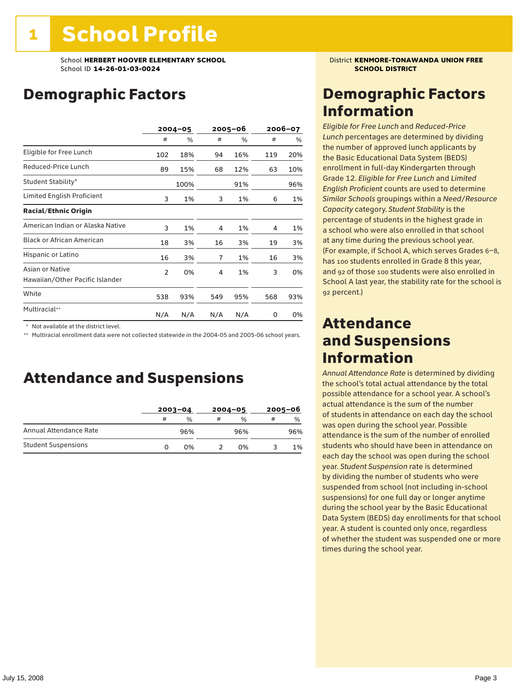# Demographic Factors

|                                                    | $2004 - 05$    |      | 2005-06 |     | 2006-07 |     |
|----------------------------------------------------|----------------|------|---------|-----|---------|-----|
|                                                    | #              | %    | #       | %   | #       | %   |
| Eligible for Free Lunch                            | 102            | 18%  | 94      | 16% | 119     | 20% |
| Reduced-Price Lunch                                | 89             | 15%  | 68      | 12% | 63      | 10% |
| Student Stability*                                 |                | 100% |         | 91% |         | 96% |
| Limited English Proficient                         | 3              | 1%   | 3       | 1%  | 6       | 1%  |
| <b>Racial/Ethnic Origin</b>                        |                |      |         |     |         |     |
| American Indian or Alaska Native                   | 3              | 1%   | 4       | 1%  | 4       | 1%  |
| <b>Black or African American</b>                   | 18             | 3%   | 16      | 3%  | 19      | 3%  |
| Hispanic or Latino                                 | 16             | 3%   | 7       | 1%  | 16      | 3%  |
| Asian or Native<br>Hawaiian/Other Pacific Islander | $\overline{2}$ | 0%   | 4       | 1%  | 3       | 0%  |
| White                                              | 538            | 93%  | 549     | 95% | 568     | 93% |
| Multiracial**                                      | N/A            | N/A  | N/A     | N/A | 0       | 0%  |

\* Not available at the district level.

\*\* Multiracial enrollment data were not collected statewide in the 2004-05 and 2005-06 school years.

### Attendance and Suspensions

|                            |   | $2003 - 04$ |   | $2004 - 05$   | $2005 - 06$ |               |
|----------------------------|---|-------------|---|---------------|-------------|---------------|
|                            | # | %           | # | $\frac{0}{0}$ | #           | $\frac{0}{0}$ |
| Annual Attendance Rate     |   | 96%         |   | 96%           |             | 96%           |
| <b>Student Suspensions</b> | O | በ%          |   | በ%            |             | 1%            |

## Demographic Factors Information

*Eligible for Free Lunch* and *Reduced*-*Price Lunch* percentages are determined by dividing the number of approved lunch applicants by the Basic Educational Data System (BEDS) enrollment in full-day Kindergarten through Grade 12. *Eligible for Free Lunch* and *Limited English Proficient* counts are used to determine *Similar Schools* groupings within a *Need*/*Resource Capacity* category. *Student Stability* is the percentage of students in the highest grade in a school who were also enrolled in that school at any time during the previous school year. (For example, if School A, which serves Grades 6–8, has 100 students enrolled in Grade 8 this year, and 92 of those 100 students were also enrolled in School A last year, the stability rate for the school is 92 percent.)

### Attendance and Suspensions Information

*Annual Attendance Rate* is determined by dividing the school's total actual attendance by the total possible attendance for a school year. A school's actual attendance is the sum of the number of students in attendance on each day the school was open during the school year. Possible attendance is the sum of the number of enrolled students who should have been in attendance on each day the school was open during the school year. *Student Suspension* rate is determined by dividing the number of students who were suspended from school (not including in-school suspensions) for one full day or longer anytime during the school year by the Basic Educational Data System (BEDS) day enrollments for that school year. A student is counted only once, regardless of whether the student was suspended one or more times during the school year.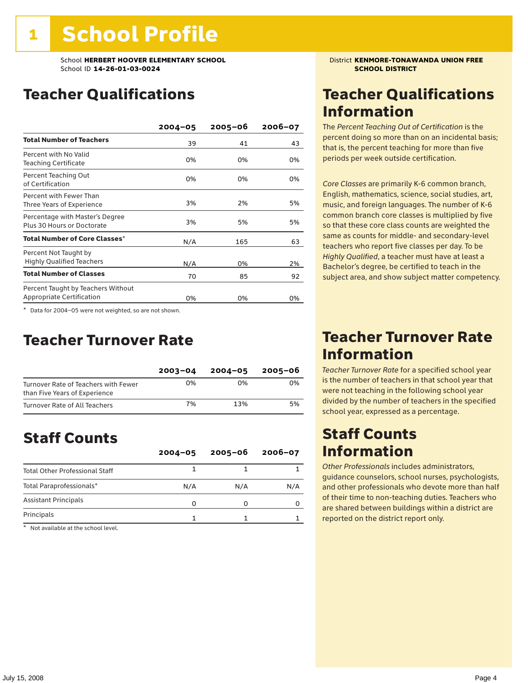School **HERBERT HOOVER ELEMENTARY SCHOOL** District **KENMORE-TONAWANDA UNION FREE**<br>School ID 14-26-01-03-0024 **District And All School District** School ID **14-26-01-03-0024** 

# Teacher Qualifications

|                                                                 | $2004 - 05$ | $2005 - 06$ | $2006 - 07$ |
|-----------------------------------------------------------------|-------------|-------------|-------------|
| <b>Total Number of Teachers</b>                                 | 39          | 41          | 43          |
| Percent with No Valid<br><b>Teaching Certificate</b>            | 0%          | 0%          | 0%          |
| Percent Teaching Out<br>of Certification                        | 0%          | 0%          | 0%          |
| Percent with Fewer Than<br>Three Years of Experience            | 3%          | 2%          | 5%          |
| Percentage with Master's Degree<br>Plus 30 Hours or Doctorate   | 3%          | 5%          | 5%          |
| Total Number of Core Classes $^\star$                           | N/A         | 165         | 63          |
| Percent Not Taught by<br><b>Highly Qualified Teachers</b>       | N/A         | 0%          | 2%          |
| <b>Total Number of Classes</b>                                  | 70          | 85          | 92          |
| Percent Taught by Teachers Without<br>Appropriate Certification | 0%          | 0%          | 0%          |

\* Data for 2004–05 were not weighted, so are not shown.

### Teacher Turnover Rate

|                                                                       | $2003 - 04$ | $2004 - 05$ | 2005-06 |
|-----------------------------------------------------------------------|-------------|-------------|---------|
| Turnover Rate of Teachers with Fewer<br>than Five Years of Experience | 0%          | በ%          | በ%      |
| Turnover Rate of All Teachers                                         | 7%          | 13%         | 5%      |

# Staff Counts

|                                       | $2004 - 05$ | $2005 - 06$ | $2006 - 07$ |
|---------------------------------------|-------------|-------------|-------------|
| <b>Total Other Professional Staff</b> |             |             |             |
| Total Paraprofessionals*              | N/A         | N/A         | N/A         |
| <b>Assistant Principals</b>           | O           |             |             |
| Principals                            |             |             |             |

\* Not available at the school level.

## Teacher Qualifications Information

The *Percent Teaching Out of Certification* is the percent doing so more than on an incidental basis; that is, the percent teaching for more than five periods per week outside certification.

*Core Classes* are primarily K-6 common branch, English, mathematics, science, social studies, art, music, and foreign languages. The number of K-6 common branch core classes is multiplied by five so that these core class counts are weighted the same as counts for middle- and secondary-level teachers who report five classes per day. To be *Highly Qualified*, a teacher must have at least a Bachelor's degree, be certified to teach in the subject area, and show subject matter competency.

### Teacher Turnover Rate Information

*Teacher Turnover Rate* for a specified school year is the number of teachers in that school year that were not teaching in the following school year divided by the number of teachers in the specified school year, expressed as a percentage.

### Staff Counts Information

*Other Professionals* includes administrators, guidance counselors, school nurses, psychologists, and other professionals who devote more than half of their time to non-teaching duties. Teachers who are shared between buildings within a district are reported on the district report only.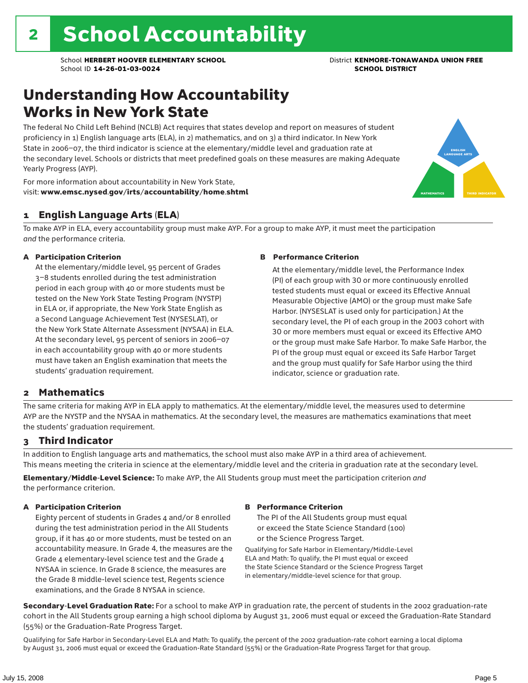# Understanding How Accountability Works in New York State

The federal No Child Left Behind (NCLB) Act requires that states develop and report on measures of student proficiency in 1) English language arts (ELA), in 2) mathematics, and on 3) a third indicator. In New York State in 2006–07, the third indicator is science at the elementary/middle level and graduation rate at the secondary level. Schools or districts that meet predefined goals on these measures are making Adequate Yearly Progress (AYP).



For more information about accountability in New York State, visit: www.emsc.nysed.gov/irts/accountability/home.shtml

### 1 English Language Arts (ELA)

To make AYP in ELA, every accountability group must make AYP. For a group to make AYP, it must meet the participation *and* the performance criteria.

### A Participation Criterion

At the elementary/middle level, 95 percent of Grades 3–8 students enrolled during the test administration period in each group with 40 or more students must be tested on the New York State Testing Program (NYSTP) in ELA or, if appropriate, the New York State English as a Second Language Achievement Test (NYSESLAT), or the New York State Alternate Assessment (NYSAA) in ELA. At the secondary level, 95 percent of seniors in 2006–07 in each accountability group with 40 or more students must have taken an English examination that meets the students' graduation requirement.

### B Performance Criterion

At the elementary/middle level, the Performance Index (PI) of each group with 30 or more continuously enrolled tested students must equal or exceed its Effective Annual Measurable Objective (AMO) or the group must make Safe Harbor. (NYSESLAT is used only for participation.) At the secondary level, the PI of each group in the 2003 cohort with 30 or more members must equal or exceed its Effective AMO or the group must make Safe Harbor. To make Safe Harbor, the PI of the group must equal or exceed its Safe Harbor Target and the group must qualify for Safe Harbor using the third indicator, science or graduation rate.

### 2 Mathematics

The same criteria for making AYP in ELA apply to mathematics. At the elementary/middle level, the measures used to determine AYP are the NYSTP and the NYSAA in mathematics. At the secondary level, the measures are mathematics examinations that meet the students' graduation requirement.

### 3 Third Indicator

In addition to English language arts and mathematics, the school must also make AYP in a third area of achievement. This means meeting the criteria in science at the elementary/middle level and the criteria in graduation rate at the secondary level.

Elementary/Middle-Level Science: To make AYP, the All Students group must meet the participation criterion *and* the performance criterion.

### A Participation Criterion

Eighty percent of students in Grades 4 and/or 8 enrolled during the test administration period in the All Students group, if it has 40 or more students, must be tested on an accountability measure. In Grade 4, the measures are the Grade 4 elementary-level science test and the Grade 4 NYSAA in science. In Grade 8 science, the measures are the Grade 8 middle-level science test, Regents science examinations, and the Grade 8 NYSAA in science.

#### B Performance Criterion

The PI of the All Students group must equal or exceed the State Science Standard (100) or the Science Progress Target.

Qualifying for Safe Harbor in Elementary/Middle-Level ELA and Math: To qualify, the PI must equal or exceed the State Science Standard or the Science Progress Target in elementary/middle-level science for that group.

Secondary-Level Graduation Rate: For a school to make AYP in graduation rate, the percent of students in the 2002 graduation-rate cohort in the All Students group earning a high school diploma by August 31, 2006 must equal or exceed the Graduation-Rate Standard (55%) or the Graduation-Rate Progress Target.

Qualifying for Safe Harbor in Secondary-Level ELA and Math: To qualify, the percent of the 2002 graduation-rate cohort earning a local diploma by August 31, 2006 must equal or exceed the Graduation-Rate Standard (55%) or the Graduation-Rate Progress Target for that group.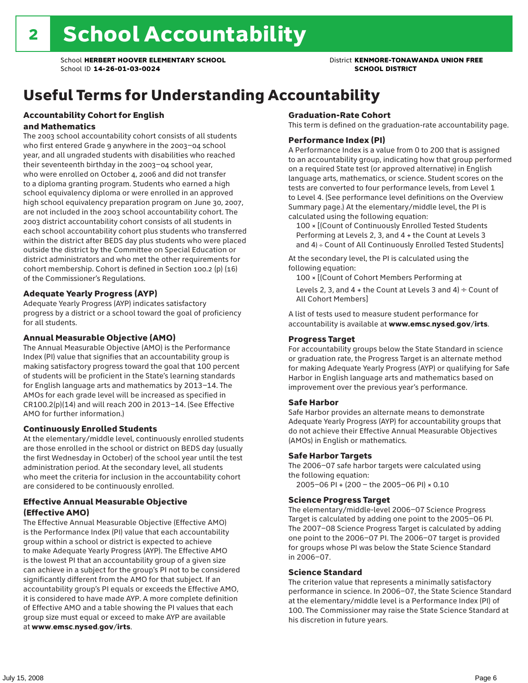# Useful Terms for Understanding Accountability

### Accountability Cohort for English and Mathematics

The 2003 school accountability cohort consists of all students who first entered Grade 9 anywhere in the 2003–04 school year, and all ungraded students with disabilities who reached their seventeenth birthday in the 2003–04 school year, who were enrolled on October 4, 2006 and did not transfer to a diploma granting program. Students who earned a high school equivalency diploma or were enrolled in an approved high school equivalency preparation program on June 30, 2007, are not included in the 2003 school accountability cohort. The 2003 district accountability cohort consists of all students in each school accountability cohort plus students who transferred within the district after BEDS day plus students who were placed outside the district by the Committee on Special Education or district administrators and who met the other requirements for cohort membership. Cohort is defined in Section 100.2 (p) (16) of the Commissioner's Regulations.

### Adequate Yearly Progress (AYP)

Adequate Yearly Progress (AYP) indicates satisfactory progress by a district or a school toward the goal of proficiency for all students.

### Annual Measurable Objective (AMO)

The Annual Measurable Objective (AMO) is the Performance Index (PI) value that signifies that an accountability group is making satisfactory progress toward the goal that 100 percent of students will be proficient in the State's learning standards for English language arts and mathematics by 2013–14. The AMOs for each grade level will be increased as specified in CR100.2(p)(14) and will reach 200 in 2013–14. (See Effective AMO for further information.)

### Continuously Enrolled Students

At the elementary/middle level, continuously enrolled students are those enrolled in the school or district on BEDS day (usually the first Wednesday in October) of the school year until the test administration period. At the secondary level, all students who meet the criteria for inclusion in the accountability cohort are considered to be continuously enrolled.

### Effective Annual Measurable Objective (Effective AMO)

The Effective Annual Measurable Objective (Effective AMO) is the Performance Index (PI) value that each accountability group within a school or district is expected to achieve to make Adequate Yearly Progress (AYP). The Effective AMO is the lowest PI that an accountability group of a given size can achieve in a subject for the group's PI not to be considered significantly different from the AMO for that subject. If an accountability group's PI equals or exceeds the Effective AMO, it is considered to have made AYP. A more complete definition of Effective AMO and a table showing the PI values that each group size must equal or exceed to make AYP are available at www.emsc.nysed.gov/irts.

### Graduation-Rate Cohort

This term is defined on the graduation-rate accountability page.

#### Performance Index (PI)

A Performance Index is a value from 0 to 200 that is assigned to an accountability group, indicating how that group performed on a required State test (or approved alternative) in English language arts, mathematics, or science. Student scores on the tests are converted to four performance levels, from Level 1 to Level 4. (See performance level definitions on the Overview Summary page.) At the elementary/middle level, the PI is calculated using the following equation:

100 × [(Count of Continuously Enrolled Tested Students Performing at Levels 2, 3, and 4 + the Count at Levels 3 and 4) ÷ Count of All Continuously Enrolled Tested Students]

At the secondary level, the PI is calculated using the following equation:

100 × [(Count of Cohort Members Performing at

Levels 2, 3, and 4 + the Count at Levels 3 and 4)  $\div$  Count of All Cohort Members]

A list of tests used to measure student performance for accountability is available at www.emsc.nysed.gov/irts.

#### Progress Target

For accountability groups below the State Standard in science or graduation rate, the Progress Target is an alternate method for making Adequate Yearly Progress (AYP) or qualifying for Safe Harbor in English language arts and mathematics based on improvement over the previous year's performance.

#### Safe Harbor

Safe Harbor provides an alternate means to demonstrate Adequate Yearly Progress (AYP) for accountability groups that do not achieve their Effective Annual Measurable Objectives (AMOs) in English or mathematics.

#### Safe Harbor Targets

The 2006–07 safe harbor targets were calculated using the following equation:

2005–06 PI + (200 – the 2005–06 PI) × 0.10

#### Science Progress Target

The elementary/middle-level 2006–07 Science Progress Target is calculated by adding one point to the 2005–06 PI. The 2007–08 Science Progress Target is calculated by adding one point to the 2006–07 PI. The 2006–07 target is provided for groups whose PI was below the State Science Standard in 2006–07.

#### Science Standard

The criterion value that represents a minimally satisfactory performance in science. In 2006–07, the State Science Standard at the elementary/middle level is a Performance Index (PI) of 100. The Commissioner may raise the State Science Standard at his discretion in future years.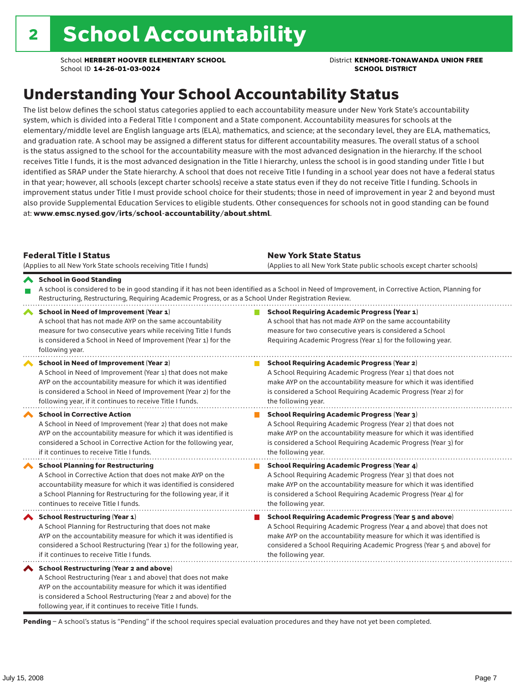# Understanding Your School Accountability Status

The list below defines the school status categories applied to each accountability measure under New York State's accountability system, which is divided into a Federal Title I component and a State component. Accountability measures for schools at the elementary/middle level are English language arts (ELA), mathematics, and science; at the secondary level, they are ELA, mathematics, and graduation rate. A school may be assigned a different status for different accountability measures. The overall status of a school is the status assigned to the school for the accountability measure with the most advanced designation in the hierarchy. If the school receives Title I funds, it is the most advanced designation in the Title I hierarchy, unless the school is in good standing under Title I but identified as SRAP under the State hierarchy. A school that does not receive Title I funding in a school year does not have a federal status in that year; however, all schools (except charter schools) receive a state status even if they do not receive Title I funding. Schools in improvement status under Title I must provide school choice for their students; those in need of improvement in year 2 and beyond must also provide Supplemental Education Services to eligible students. Other consequences for schools not in good standing can be found at: www.emsc.nysed.gov/irts/school-accountability/about.shtml.

| <b>Federal Title I Status</b><br>(Applies to all New York State schools receiving Title I funds)                                                                                                                                                                                                             | <b>New York State Status</b><br>(Applies to all New York State public schools except charter schools)                                                                                                                                                                                                           |
|--------------------------------------------------------------------------------------------------------------------------------------------------------------------------------------------------------------------------------------------------------------------------------------------------------------|-----------------------------------------------------------------------------------------------------------------------------------------------------------------------------------------------------------------------------------------------------------------------------------------------------------------|
| School in Good Standing<br>Restructuring, Restructuring, Requiring Academic Progress, or as a School Under Registration Review.                                                                                                                                                                              | A school is considered to be in good standing if it has not been identified as a School in Need of Improvement, in Corrective Action, Planning for                                                                                                                                                              |
| School in Need of Improvement (Year 1)<br>A school that has not made AYP on the same accountability<br>measure for two consecutive years while receiving Title I funds<br>is considered a School in Need of Improvement (Year 1) for the<br>following year.                                                  | <b>School Requiring Academic Progress (Year 1)</b><br>A school that has not made AYP on the same accountability<br>measure for two consecutive years is considered a School<br>Requiring Academic Progress (Year 1) for the following year.                                                                     |
| <b>School in Need of Improvement (Year 2)</b><br>A School in Need of Improvement (Year 1) that does not make<br>AYP on the accountability measure for which it was identified<br>is considered a School in Need of Improvement (Year 2) for the<br>following year, if it continues to receive Title I funds. | <b>School Requiring Academic Progress (Year 2)</b><br>A School Requiring Academic Progress (Year 1) that does not<br>make AYP on the accountability measure for which it was identified<br>is considered a School Requiring Academic Progress (Year 2) for<br>the following year.                               |
| <b>School in Corrective Action</b><br>A School in Need of Improvement (Year 2) that does not make<br>AYP on the accountability measure for which it was identified is<br>considered a School in Corrective Action for the following year,<br>if it continues to receive Title I funds.                       | <b>School Requiring Academic Progress (Year 3)</b><br>A School Requiring Academic Progress (Year 2) that does not<br>make AYP on the accountability measure for which it was identified<br>is considered a School Requiring Academic Progress (Year 3) for<br>the following year.                               |
| <b>School Planning for Restructuring</b><br>A School in Corrective Action that does not make AYP on the<br>accountability measure for which it was identified is considered<br>a School Planning for Restructuring for the following year, if it<br>continues to receive Title I funds.                      | <b>School Requiring Academic Progress (Year 4)</b><br>A School Requiring Academic Progress (Year 3) that does not<br>make AYP on the accountability measure for which it was identified<br>is considered a School Requiring Academic Progress (Year 4) for<br>the following year.                               |
| School Restructuring (Year 1)<br>A School Planning for Restructuring that does not make<br>AYP on the accountability measure for which it was identified is<br>considered a School Restructuring (Year 1) for the following year,<br>if it continues to receive Title I funds.                               | <b>School Requiring Academic Progress (Year 5 and above)</b><br>A School Requiring Academic Progress (Year 4 and above) that does not<br>make AYP on the accountability measure for which it was identified is<br>considered a School Requiring Academic Progress (Year 5 and above) for<br>the following year. |
| School Restructuring (Year 2 and above)<br>A School Restructuring (Year 1 and above) that does not make<br>AYP on the accountability measure for which it was identified<br>is considered a School Restructuring (Year 2 and above) for the<br>following year, if it continues to receive Title I funds.     |                                                                                                                                                                                                                                                                                                                 |

Pending - A school's status is "Pending" if the school requires special evaluation procedures and they have not yet been completed.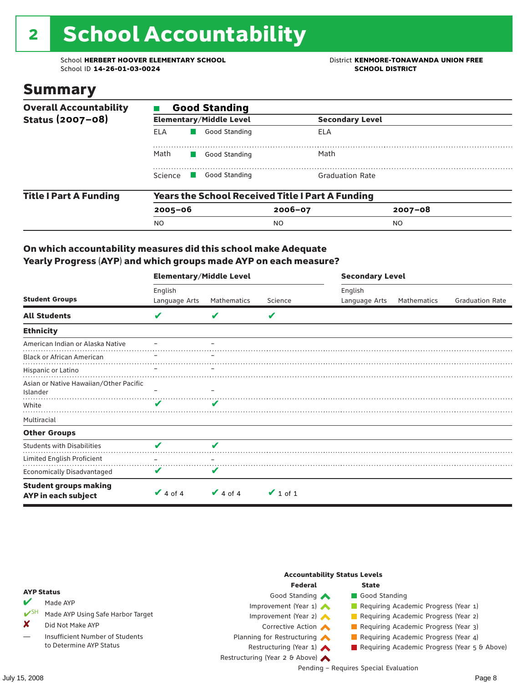# 2 School Accountability

School **HERBERT HOOVER ELEMENTARY SCHOOL** District **KENMORE-TONAWANDA UNION FREE**<br>School ID 14-26-01-03-0024 **District SCHOOL DISTRICT** School ID **14-26-01-03-0024** 

### Summary

| <b>Overall Accountability</b> | <b>Good Standing</b>                |                                |                                                         |             |  |  |  |  |
|-------------------------------|-------------------------------------|--------------------------------|---------------------------------------------------------|-------------|--|--|--|--|
| Status (2007-08)              |                                     | <b>Elementary/Middle Level</b> | <b>Secondary Level</b>                                  |             |  |  |  |  |
|                               | ELA                                 | Good Standing                  | ELA                                                     |             |  |  |  |  |
|                               | Math                                | Good Standing                  | Math                                                    |             |  |  |  |  |
|                               | Science<br><b>Contract Contract</b> | Good Standing                  | <b>Graduation Rate</b>                                  |             |  |  |  |  |
| <b>Title I Part A Funding</b> |                                     |                                | <b>Years the School Received Title I Part A Funding</b> |             |  |  |  |  |
|                               | $2005 - 06$                         |                                | $2006 - 07$                                             | $2007 - 08$ |  |  |  |  |
|                               | <b>NO</b>                           |                                | NO.                                                     | NO.         |  |  |  |  |

### On which accountability measures did this school make Adequate Yearly Progress (AYP) and which groups made AYP on each measure?

|                                                     | <b>Elementary/Middle Level</b> |               |               | <b>Secondary Level</b> |             |                        |  |
|-----------------------------------------------------|--------------------------------|---------------|---------------|------------------------|-------------|------------------------|--|
|                                                     | English                        |               |               | English                |             |                        |  |
| <b>Student Groups</b>                               | Language Arts                  | Mathematics   | Science       | Language Arts          | Mathematics | <b>Graduation Rate</b> |  |
| <b>All Students</b>                                 | V                              |               | V             |                        |             |                        |  |
| <b>Ethnicity</b>                                    |                                |               |               |                        |             |                        |  |
| American Indian or Alaska Native                    |                                |               |               |                        |             |                        |  |
| <b>Black or African American</b>                    |                                |               |               |                        |             |                        |  |
| Hispanic or Latino                                  |                                |               |               |                        |             |                        |  |
| Asian or Native Hawaiian/Other Pacific<br>Islander  |                                |               |               |                        |             |                        |  |
| White                                               | ✔                              | V             |               |                        |             |                        |  |
| Multiracial                                         |                                |               |               |                        |             |                        |  |
| <b>Other Groups</b>                                 |                                |               |               |                        |             |                        |  |
| <b>Students with Disabilities</b>                   | V                              | V             |               |                        |             |                        |  |
| Limited English Proficient                          |                                |               |               |                        |             |                        |  |
| <b>Economically Disadvantaged</b>                   | V                              | V             |               |                        |             |                        |  |
| <b>Student groups making</b><br>AYP in each subject | $\vee$ 4 of 4                  | $\vee$ 4 of 4 | $\vee$ 1 of 1 |                        |             |                        |  |

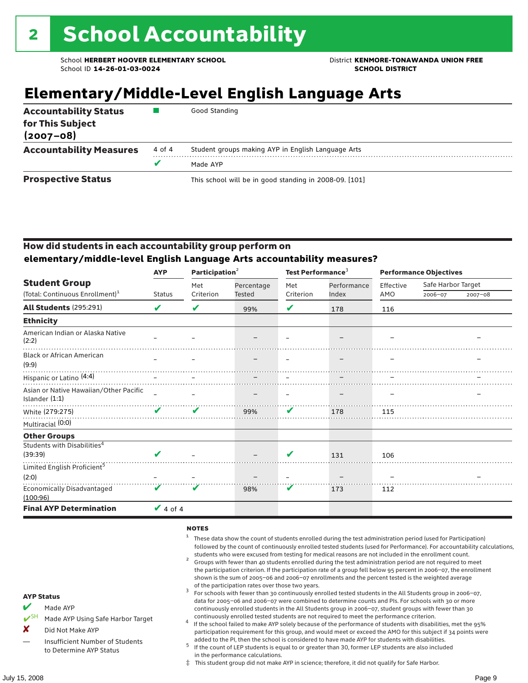# **Elementary/Middle-Level English Language Arts**

| <b>Accountability Status</b><br>for This Subject<br>$(2007 - 08)$ |        | Good Standing                                          |
|-------------------------------------------------------------------|--------|--------------------------------------------------------|
| <b>Accountability Measures</b>                                    | 4 of 4 | Student groups making AYP in English Language Arts     |
|                                                                   | v      | Made AYP                                               |
| <b>Prospective Status</b>                                         |        | This school will be in good standing in 2008-09. [101] |

### How did students in each accountability group perform on **elementary/middle-level English Language Arts accountability measures?**

|                                                            |               |           | Participation <sup>2</sup> |           | Test Performance <sup>3</sup> |           | <b>Performance Objectives</b> |             |  |
|------------------------------------------------------------|---------------|-----------|----------------------------|-----------|-------------------------------|-----------|-------------------------------|-------------|--|
| <b>Student Group</b>                                       |               | Met       | Percentage                 | Met       | Performance                   | Effective | Safe Harbor Target            |             |  |
| (Total: Continuous Enrollment) <sup>1</sup>                | <b>Status</b> | Criterion | <b>Tested</b>              | Criterion | Index                         | AMO       | 2006-07                       | $2007 - 08$ |  |
| All Students (295:291)                                     | V             | V         | 99%                        | V         | 178                           | 116       |                               |             |  |
| <b>Ethnicity</b>                                           |               |           |                            |           |                               |           |                               |             |  |
| American Indian or Alaska Native<br>(2:2)                  |               |           |                            |           |                               |           |                               |             |  |
| <b>Black or African American</b><br>(9:9)                  |               |           |                            |           |                               |           |                               |             |  |
| Hispanic or Latino (4:4)                                   |               |           |                            |           |                               |           |                               |             |  |
| Asian or Native Hawaiian/Other Pacific<br>Islander $(1:1)$ |               |           |                            |           |                               |           |                               |             |  |
| White (279:275)                                            | ✔             | V         | 99%                        | V         | 178                           | 115       |                               |             |  |
| Multiracial (0:0)                                          |               |           |                            |           |                               |           |                               |             |  |
| <b>Other Groups</b>                                        |               |           |                            |           |                               |           |                               |             |  |
| Students with Disabilities <sup>4</sup>                    |               |           |                            |           |                               |           |                               |             |  |
| (39:39)                                                    | ✔             |           |                            | V         | 131                           | 106       |                               |             |  |
| Limited English Proficient <sup>5</sup>                    |               |           |                            |           |                               |           |                               |             |  |
| (2:0)                                                      |               |           |                            |           |                               |           |                               |             |  |
| Economically Disadvantaged<br>(100:96)                     | V             | v         | 98%                        | V         | 173                           | 112       |                               |             |  |
| <b>Final AYP Determination</b>                             | $\vee$ 4 of 4 |           |                            |           |                               |           |                               |             |  |

#### **NOTES**

- <sup>1</sup> These data show the count of students enrolled during the test administration period (used for Participation) followed by the count of continuously enrolled tested students (used for Performance). For accountability calculations,
- students who were excused from testing for medical reasons are not included in the enrollment count. <sup>2</sup> Groups with fewer than 40 students enrolled during the test administration period are not required to meet the participation criterion. If the participation rate of a group fell below 95 percent in 2006–07, the enrollment shown is the sum of 2005–06 and 2006–07 enrollments and the percent tested is the weighted average
- of the participation rates over those two years.<br><sup>3</sup> For schools with fewer than 30 continuously enrolled tested students in the All Students group in 2006–07, data for 2005–06 and 2006–07 were combined to determine counts and PIs. For schools with 30 or more continuously enrolled students in the All Students group in 2006–07, student groups with fewer than 30
- continuously enrolled tested students are not required to meet the performance criterion. <sup>4</sup> If the school failed to make AYP solely because of the performance of students with disabilities, met the 95% participation requirement for this group, and would meet or exceed the AMO for this subject if 34 points were added to the PI, then the school is considered to have made AYP for students with disabilities.
- $5$  If the count of LEP students is equal to or greater than 30, former LEP students are also included in the performance calculations.
- ‡ This student group did not make AYP in science; therefore, it did not qualify for Safe Harbor.
- Made AYP
	- Made AYP Using Safe Harbor Target
- X Did Not Make AYP
- Insufficient Number of Students to Determine AYP Status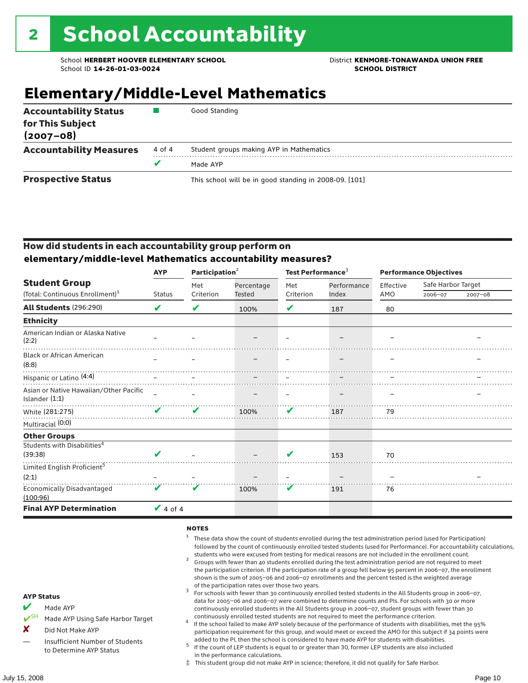# **Elementary/Middle-Level Mathematics**

| <b>Accountability Status</b><br>for This Subject<br>$(2007 - 08)$ |        | Good Standing                                          |
|-------------------------------------------------------------------|--------|--------------------------------------------------------|
| <b>Accountability Measures</b>                                    | 4 of 4 | Student groups making AYP in Mathematics               |
|                                                                   |        | Made AYP                                               |
| <b>Prospective Status</b>                                         |        | This school will be in good standing in 2008-09. [101] |

### How did students in each accountability group perform on **elementary/middle-level Mathematics accountability measures?**

|                                                          | <b>AYP</b>                 | Participation <sup>2</sup> |            | Test Performance <sup>3</sup> |             | <b>Performance Objectives</b> |                    |         |
|----------------------------------------------------------|----------------------------|----------------------------|------------|-------------------------------|-------------|-------------------------------|--------------------|---------|
| <b>Student Group</b>                                     |                            | Met                        | Percentage | Met                           | Performance | Effective                     | Safe Harbor Target |         |
| (Total: Continuous Enrollment) <sup>1</sup>              | <b>Status</b>              | Criterion                  | Tested     | Criterion                     | Index       | AMO                           | 2006-07            | 2007-08 |
| <b>All Students (296:290)</b>                            | $\boldsymbol{\mathcal{U}}$ | V                          | 100%       | V                             | 187         | 80                            |                    |         |
| <b>Ethnicity</b>                                         |                            |                            |            |                               |             |                               |                    |         |
| American Indian or Alaska Native<br>(2:2)                |                            |                            |            |                               |             |                               |                    |         |
| <b>Black or African American</b><br>(8:8)                |                            |                            |            |                               |             |                               |                    |         |
| Hispanic or Latino (4:4)                                 |                            |                            |            |                               |             |                               |                    |         |
| Asian or Native Hawaiian/Other Pacific<br>Islander (1:1) |                            |                            |            |                               |             |                               |                    |         |
| White (281:275)                                          | $\boldsymbol{\mathcal{U}}$ | ✔                          | 100%       | V                             | 187         | 79                            |                    |         |
| Multiracial (0:0)                                        |                            |                            |            |                               |             |                               |                    |         |
| <b>Other Groups</b>                                      |                            |                            |            |                               |             |                               |                    |         |
| Students with Disabilities <sup>4</sup><br>(39:38)       | V                          |                            |            | $\overline{\mathbf{v}}$       | 153         | 70                            |                    |         |
| Limited English Proficient <sup>5</sup>                  |                            |                            |            |                               |             |                               |                    |         |
| (2:1)                                                    |                            |                            |            |                               |             |                               |                    |         |
| <b>Economically Disadvantaged</b><br>(100:96)            | V                          | V                          | 100%       | V                             | 191         | 76                            |                    |         |
| <b>Final AYP Determination</b>                           | $\vee$ 4 of 4              |                            |            |                               |             |                               |                    |         |

#### **NOTES**

- <sup>1</sup> These data show the count of students enrolled during the test administration period (used for Participation) followed by the count of continuously enrolled tested students (used for Performance). For accountability calculations,
- students who were excused from testing for medical reasons are not included in the enrollment count.<br><sup>2</sup> Groups with fewer than 40 students enrolled during the test administration period are not required to meet the participation criterion. If the participation rate of a group fell below 95 percent in 2006–07, the enrollment shown is the sum of 2005–06 and 2006–07 enrollments and the percent tested is the weighted average
- of the participation rates over those two years.<br><sup>3</sup> For schools with fewer than 30 continuously enrolled tested students in the All Students group in 2006–07, data for 2005–06 and 2006–07 were combined to determine counts and PIs. For schools with 30 or more continuously enrolled students in the All Students group in 2006–07, student groups with fewer than 30
- continuously enrolled tested students are not required to meet the performance criterion. <sup>4</sup> If the school failed to make AYP solely because of the performance of students with disabilities, met the 95% participation requirement for this group, and would meet or exceed the AMO for this subject if 34 points were added to the PI, then the school is considered to have made AYP for students with disabilities.
- $5$  If the count of LEP students is equal to or greater than 30, former LEP students are also included in the performance calculations.
- ‡ This student group did not make AYP in science; therefore, it did not qualify for Safe Harbor.
- Made AYP
	- Made AYP Using Safe Harbor Target
- X Did Not Make AYP
- Insufficient Number of Students to Determine AYP Status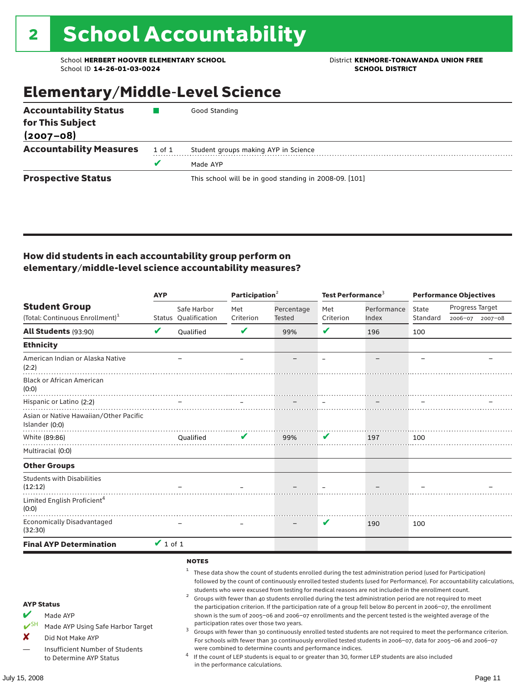School **HERBERT HOOVER ELEMENTARY SCHOOL** District **KENMORE-TONAWANDA UNION FREE**<br>School ID 14-26-01-03-0024 **District** School ID 14-26-01-03-0024 School ID **14-26-01-03-0024** 

# Elementary/Middle-Level Science

| <b>Accountability Status</b>   |        | Good Standing                                          |
|--------------------------------|--------|--------------------------------------------------------|
| for This Subject               |        |                                                        |
| $(2007 - 08)$                  |        |                                                        |
| <b>Accountability Measures</b> | 1 of 1 | Student groups making AYP in Science                   |
|                                |        | Made AYP                                               |
| <b>Prospective Status</b>      |        | This school will be in good standing in 2008-09. [101] |

### How did students in each accountability group perform on elementary/middle-level science accountability measures?

|                                                                                                                                                                            | <b>AYP</b>                 |                                                                                                                                                                                                                                                                                                                                                                                                                                                                                                                                                                                                                                                                                                                                                                                                                                                                                                                                                                                                                                                                                                                                                                                                                                            | Participation <sup>2</sup> |            | Test Performance <sup>3</sup> |             | <b>Performance Objectives</b> |                 |             |
|----------------------------------------------------------------------------------------------------------------------------------------------------------------------------|----------------------------|--------------------------------------------------------------------------------------------------------------------------------------------------------------------------------------------------------------------------------------------------------------------------------------------------------------------------------------------------------------------------------------------------------------------------------------------------------------------------------------------------------------------------------------------------------------------------------------------------------------------------------------------------------------------------------------------------------------------------------------------------------------------------------------------------------------------------------------------------------------------------------------------------------------------------------------------------------------------------------------------------------------------------------------------------------------------------------------------------------------------------------------------------------------------------------------------------------------------------------------------|----------------------------|------------|-------------------------------|-------------|-------------------------------|-----------------|-------------|
| <b>Student Group</b>                                                                                                                                                       |                            | Safe Harbor                                                                                                                                                                                                                                                                                                                                                                                                                                                                                                                                                                                                                                                                                                                                                                                                                                                                                                                                                                                                                                                                                                                                                                                                                                | Met                        | Percentage | Met                           | Performance | State                         | Progress Target |             |
| (Total: Continuous Enrollment) <sup>1</sup>                                                                                                                                |                            | <b>Status Oualification</b>                                                                                                                                                                                                                                                                                                                                                                                                                                                                                                                                                                                                                                                                                                                                                                                                                                                                                                                                                                                                                                                                                                                                                                                                                | Criterion                  | Tested     | Criterion                     | Index       | Standard                      | 2006-07         | $2007 - 08$ |
| All Students (93:90)                                                                                                                                                       | $\boldsymbol{\mathcal{U}}$ | <b>Oualified</b>                                                                                                                                                                                                                                                                                                                                                                                                                                                                                                                                                                                                                                                                                                                                                                                                                                                                                                                                                                                                                                                                                                                                                                                                                           | V                          | 99%        | $\mathbf v$                   | 196         | 100                           |                 |             |
| <b>Ethnicity</b>                                                                                                                                                           |                            |                                                                                                                                                                                                                                                                                                                                                                                                                                                                                                                                                                                                                                                                                                                                                                                                                                                                                                                                                                                                                                                                                                                                                                                                                                            |                            |            |                               |             |                               |                 |             |
| American Indian or Alaska Native<br>(2:2)                                                                                                                                  |                            |                                                                                                                                                                                                                                                                                                                                                                                                                                                                                                                                                                                                                                                                                                                                                                                                                                                                                                                                                                                                                                                                                                                                                                                                                                            |                            |            |                               |             |                               |                 |             |
| <b>Black or African American</b><br>(0:0)                                                                                                                                  |                            |                                                                                                                                                                                                                                                                                                                                                                                                                                                                                                                                                                                                                                                                                                                                                                                                                                                                                                                                                                                                                                                                                                                                                                                                                                            |                            |            |                               |             |                               |                 |             |
| Hispanic or Latino (2:2)                                                                                                                                                   |                            |                                                                                                                                                                                                                                                                                                                                                                                                                                                                                                                                                                                                                                                                                                                                                                                                                                                                                                                                                                                                                                                                                                                                                                                                                                            |                            |            |                               |             |                               |                 |             |
| Asian or Native Hawaiian/Other Pacific<br>Islander (0:0)                                                                                                                   |                            |                                                                                                                                                                                                                                                                                                                                                                                                                                                                                                                                                                                                                                                                                                                                                                                                                                                                                                                                                                                                                                                                                                                                                                                                                                            |                            |            |                               |             |                               |                 |             |
| White (89:86)                                                                                                                                                              |                            | Qualified                                                                                                                                                                                                                                                                                                                                                                                                                                                                                                                                                                                                                                                                                                                                                                                                                                                                                                                                                                                                                                                                                                                                                                                                                                  | V                          | 99%        | V                             | 197         | 100                           |                 |             |
| Multiracial (0:0)                                                                                                                                                          |                            |                                                                                                                                                                                                                                                                                                                                                                                                                                                                                                                                                                                                                                                                                                                                                                                                                                                                                                                                                                                                                                                                                                                                                                                                                                            |                            |            |                               |             |                               |                 |             |
| <b>Other Groups</b>                                                                                                                                                        |                            |                                                                                                                                                                                                                                                                                                                                                                                                                                                                                                                                                                                                                                                                                                                                                                                                                                                                                                                                                                                                                                                                                                                                                                                                                                            |                            |            |                               |             |                               |                 |             |
| <b>Students with Disabilities</b><br>(12:12)                                                                                                                               |                            |                                                                                                                                                                                                                                                                                                                                                                                                                                                                                                                                                                                                                                                                                                                                                                                                                                                                                                                                                                                                                                                                                                                                                                                                                                            |                            |            |                               |             |                               |                 |             |
| Limited English Proficient <sup>4</sup><br>(0:0)                                                                                                                           |                            |                                                                                                                                                                                                                                                                                                                                                                                                                                                                                                                                                                                                                                                                                                                                                                                                                                                                                                                                                                                                                                                                                                                                                                                                                                            |                            |            |                               |             |                               |                 |             |
| <b>Economically Disadvantaged</b><br>(32:30)                                                                                                                               |                            |                                                                                                                                                                                                                                                                                                                                                                                                                                                                                                                                                                                                                                                                                                                                                                                                                                                                                                                                                                                                                                                                                                                                                                                                                                            |                            |            | V                             | 190         | 100                           |                 |             |
| <b>Final AYP Determination</b>                                                                                                                                             | $\vee$ 1 of 1              |                                                                                                                                                                                                                                                                                                                                                                                                                                                                                                                                                                                                                                                                                                                                                                                                                                                                                                                                                                                                                                                                                                                                                                                                                                            |                            |            |                               |             |                               |                 |             |
| <b>AYP Status</b><br>V<br>Made AYP<br>$V^{SH}$<br>Made AYP Using Safe Harbor Target<br>X<br>Did Not Make AYP<br>Insufficient Number of Students<br>to Determine AYP Status |                            | <b>NOTES</b><br>1<br>These data show the count of students enrolled during the test administration period (used for Participation)<br>followed by the count of continuously enrolled tested students (used for Performance). For accountability calculations,<br>students who were excused from testing for medical reasons are not included in the enrollment count.<br>$\overline{a}$<br>Groups with fewer than 40 students enrolled during the test administration period are not required to meet<br>the participation criterion. If the participation rate of a group fell below 80 percent in 2006-07, the enrollment<br>shown is the sum of 2005-06 and 2006-07 enrollments and the percent tested is the weighted average of the<br>participation rates over those two years.<br>3<br>Groups with fewer than 30 continuously enrolled tested students are not required to meet the performance criterion.<br>For schools with fewer than 30 continuously enrolled tested students in 2006-07, data for 2005-06 and 2006-07<br>were combined to determine counts and performance indices.<br>If the count of LEP students is equal to or greater than 30, former LEP students are also included<br>in the performance calculations. |                            |            |                               |             |                               |                 |             |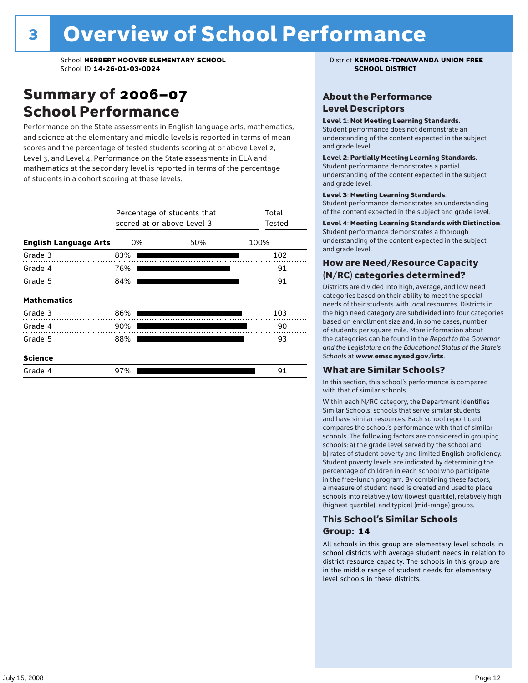## Summary of 2006–07 School Performance

Performance on the State assessments in English language arts, mathematics, and science at the elementary and middle levels is reported in terms of mean scores and the percentage of tested students scoring at or above Level 2, Level 3, and Level 4. Performance on the State assessments in ELA and mathematics at the secondary level is reported in terms of the percentage of students in a cohort scoring at these levels.

|                              | Percentage of students that<br>scored at or above Level 3 | Total<br>Tested |      |
|------------------------------|-----------------------------------------------------------|-----------------|------|
| <b>English Language Arts</b> | 0%                                                        | 50%             | 100% |
| Grade 3                      | 83%                                                       |                 | 102  |
| Grade 4                      | 76%                                                       |                 | 91   |
| Grade 5                      | 84%                                                       |                 | 91   |
| <b>Mathematics</b>           |                                                           |                 |      |
| Grade 3                      | 86%                                                       |                 | 103  |
| Grade 4                      | 90%                                                       |                 | 90   |
| Grade 5                      | 88%                                                       |                 | 93   |
| <b>Science</b>               |                                                           |                 |      |
| Grade 4                      | 97%                                                       |                 | 91   |

### About the Performance Level Descriptors

#### Level 1: Not Meeting Learning Standards.

Student performance does not demonstrate an understanding of the content expected in the subject and grade level.

#### Level 2: Partially Meeting Learning Standards.

Student performance demonstrates a partial understanding of the content expected in the subject and grade level.

#### Level 3: Meeting Learning Standards.

Student performance demonstrates an understanding of the content expected in the subject and grade level.

#### Level 4: Meeting Learning Standards with Distinction.

Student performance demonstrates a thorough understanding of the content expected in the subject and grade level.

### How are Need/Resource Capacity (N/RC) categories determined?

Districts are divided into high, average, and low need categories based on their ability to meet the special needs of their students with local resources. Districts in the high need category are subdivided into four categories based on enrollment size and, in some cases, number of students per square mile. More information about the categories can be found in the *Report to the Governor and the Legislature on the Educational Status of the State's Schools* at www.emsc.nysed.gov/irts.

#### What are Similar Schools?

In this section, this school's performance is compared with that of similar schools.

Within each N/RC category, the Department identifies Similar Schools: schools that serve similar students and have similar resources. Each school report card compares the school's performance with that of similar schools. The following factors are considered in grouping schools: a) the grade level served by the school and b) rates of student poverty and limited English proficiency. Student poverty levels are indicated by determining the percentage of children in each school who participate in the free-lunch program. By combining these factors, a measure of student need is created and used to place schools into relatively low (lowest quartile), relatively high (highest quartile), and typical (mid-range) groups.

### This School's Similar Schools Group: **14**

All schools in this group are elementary level schools in school districts with average student needs in relation to district resource capacity. The schools in this group are in the middle range of student needs for elementary level schools in these districts.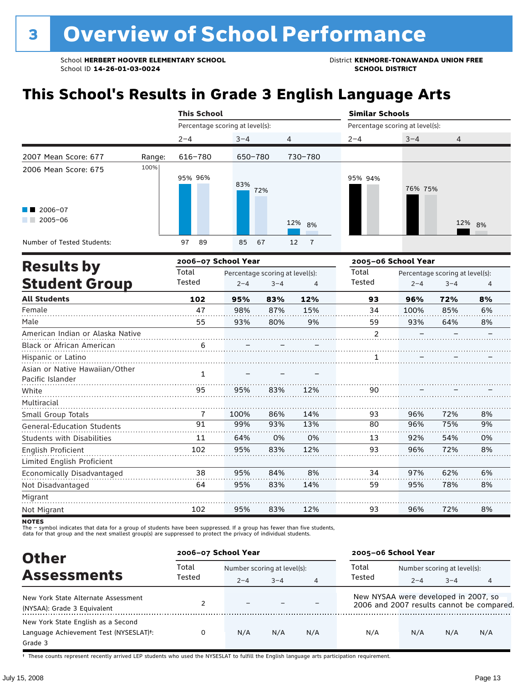# **This School's Results in Grade 3 English Language Arts**

|                                                           |        | <b>This School</b>              |            |                      | <b>Similar Schools</b>          |         |        |  |  |
|-----------------------------------------------------------|--------|---------------------------------|------------|----------------------|---------------------------------|---------|--------|--|--|
|                                                           |        | Percentage scoring at level(s): |            |                      | Percentage scoring at level(s): |         |        |  |  |
|                                                           |        | $2 - 4$                         | $3 - 4$    | 4                    | $2 - 4$                         | $3 - 4$ | 4      |  |  |
| 2007 Mean Score: 677                                      | Range: | 616-780                         | 650-780    | 730-780              |                                 |         |        |  |  |
| 2006 Mean Score: 675<br>$\blacksquare$ 2006-07<br>2005-06 | 100%   | 95% 96%                         | 83%<br>72% |                      | 95% 94%                         | 76% 75% |        |  |  |
|                                                           |        |                                 |            | 12% 8%               |                                 |         | 12% 8% |  |  |
| Number of Tested Students:                                |        | 89<br>97                        | 85<br>67   | 12<br>$\overline{7}$ |                                 |         |        |  |  |

|                                                    |        | 2006-07 School Year |                                 |     | 2005-06 School Year |         |                                 |    |
|----------------------------------------------------|--------|---------------------|---------------------------------|-----|---------------------|---------|---------------------------------|----|
| <b>Results by</b>                                  | Total  |                     | Percentage scoring at level(s): |     | Total               |         | Percentage scoring at level(s): |    |
| <b>Student Group</b>                               | Tested | $2 - 4$             | $3 - 4$                         | 4   | Tested              | $2 - 4$ | $3 - 4$                         | 4  |
| <b>All Students</b>                                | 102    | 95%                 | 83%                             | 12% | 93                  | 96%     | 72%                             | 8% |
| Female                                             | 47     | 98%                 | 87%                             | 15% | 34                  | 100%    | 85%                             | 6% |
| Male                                               | 55     | 93%                 | 80%                             | 9%  | 59                  | 93%     | 64%                             | 8% |
| American Indian or Alaska Native                   |        |                     |                                 |     | $\overline{2}$      |         |                                 |    |
| <b>Black or African American</b>                   | 6      |                     |                                 |     |                     |         |                                 |    |
| Hispanic or Latino                                 |        |                     |                                 |     | 1                   |         |                                 |    |
| Asian or Native Hawaiian/Other<br>Pacific Islander | 1      |                     |                                 |     |                     |         |                                 |    |
| White                                              | 95     | 95%                 | 83%                             | 12% | 90                  |         |                                 |    |
| Multiracial                                        |        |                     |                                 |     |                     |         |                                 |    |
| Small Group Totals                                 |        | 100%                | 86%                             | 14% | 93                  | 96%     | 72%                             | 8% |
| <b>General-Education Students</b>                  | 91     | 99%                 | 93%                             | 13% | 80                  | 96%     | 75%                             | 9% |
| <b>Students with Disabilities</b>                  | 11     | 64%                 | 0%                              | 0%  | 13                  | 92%     | 54%                             | 0% |
| English Proficient                                 | 102    | 95%                 | 83%                             | 12% | 93                  | 96%     | 72%                             | 8% |
| Limited English Proficient                         |        |                     |                                 |     |                     |         |                                 |    |
| Economically Disadvantaged                         | 38     | 95%                 | 84%                             | 8%  | 34                  | 97%     | 62%                             | 6% |
| Not Disadvantaged                                  | 64     | 95%                 | 83%                             | 14% | 59                  | 95%     | 78%                             | 8% |
| Migrant                                            |        |                     |                                 |     |                     |         |                                 |    |
| Not Migrant                                        | 102    | 95%                 | 83%                             | 12% | 93                  | 96%     | 72%                             | 8% |
|                                                    |        |                     |                                 |     |                     |         |                                 |    |

NOTES<br>The – symbol indicates that data for a group of students have been suppressed. If a group has fewer than five students,<br>data for that group and the next smallest group(s) are suppressed to protect the privacy of indi

| <b>Other</b>                                                                                         | 2006-07 School Year |                             |         |                | 2005-06 School Year                  |                             |         |                                           |
|------------------------------------------------------------------------------------------------------|---------------------|-----------------------------|---------|----------------|--------------------------------------|-----------------------------|---------|-------------------------------------------|
| <b>Assessments</b>                                                                                   | Total               | Number scoring at level(s): |         |                | Total                                | Number scoring at level(s): |         |                                           |
|                                                                                                      | Tested              | $2 - 4$                     | $3 - 4$ | $\overline{4}$ | Tested                               | $2 - 4$                     | $3 - 4$ | 4                                         |
| New York State Alternate Assessment<br>(NYSAA): Grade 3 Equivalent                                   |                     |                             |         |                | New NYSAA were developed in 2007, so |                             |         | 2006 and 2007 results cannot be compared. |
| New York State English as a Second<br>Language Achievement Test (NYSESLAT) <sup>t</sup> :<br>Grade 3 |                     | N/A                         | N/A     | N/A            | N/A                                  | N/A                         | N/A     | N/A                                       |

† These counts represent recently arrived LEP students who used the NYSESLAT to fulfill the English language arts participation requirement.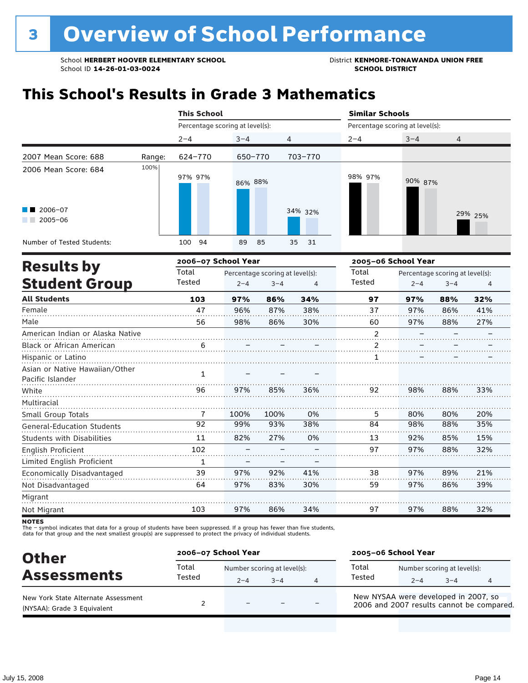School **HERBERT HOOVER ELEMENTARY SCHOOL** District **KENMORE-TONAWANDA UNION FREE**<br>School ID 14-26-01-03-0024 **District** School ID 14-26-01-03-0024 School ID **14-26-01-03-0024** 

# **This School's Results in Grade 3 Mathematics**

|                                                               |        | <b>This School</b>              |                                 |            | <b>Similar Schools</b>          |                                 |         |  |  |
|---------------------------------------------------------------|--------|---------------------------------|---------------------------------|------------|---------------------------------|---------------------------------|---------|--|--|
|                                                               |        | Percentage scoring at level(s): |                                 |            | Percentage scoring at level(s): |                                 |         |  |  |
|                                                               |        | $2 - 4$                         | $3 - 4$                         | 4          | $2 - 4$                         | $3 - 4$                         | 4       |  |  |
| 2007 Mean Score: 688                                          | Range: | 624-770                         | 650-770                         | 703-770    |                                 |                                 |         |  |  |
| 2006 Mean Score: 684<br>$\blacksquare$ 2006-07<br>$2005 - 06$ | 100%   | 97% 97%                         | 86% 88%                         | 34% 32%    | 98% 97%                         | 90% 87%                         | 29% 25% |  |  |
| Number of Tested Students:                                    |        | 94<br>100                       | 89<br>85                        | 35<br>- 31 |                                 |                                 |         |  |  |
|                                                               |        | 2006-07 School Year             |                                 |            | 2005-06 School Year             |                                 |         |  |  |
| <b>Results by</b>                                             |        | Total                           | Percentage scoring at level(s). |            | Total                           | Percentage scoring at level(s). |         |  |  |

| <b>Results by</b>                 | Total           |         | Percentage scoring at level(s): |     | Total  | Percentage scoring at level(s): |         |     |
|-----------------------------------|-----------------|---------|---------------------------------|-----|--------|---------------------------------|---------|-----|
| <b>Student Group</b>              | Tested          | $2 - 4$ | $3 - 4$                         | 4   | Tested | $2 - 4$                         | $3 - 4$ | 4   |
| <b>All Students</b>               | 103             | 97%     | 86%                             | 34% | 97     | 97%                             | 88%     | 32% |
| Female                            | 47              | 96%     | 87%                             | 38% | 37     | 97%                             | 86%     | 41% |
| Male                              | 56              | 98%     | 86%                             | 30% | 60     | 97%                             | 88%     | 27% |
| American Indian or Alaska Native  |                 |         |                                 |     | 2      |                                 |         |     |
| <b>Black or African American</b>  | 6               |         |                                 |     | 2      |                                 |         |     |
| Hispanic or Latino                |                 |         |                                 |     |        |                                 |         |     |
| Asian or Native Hawaiian/Other    | 1               |         |                                 |     |        |                                 |         |     |
| Pacific Islander                  |                 |         |                                 |     |        |                                 |         |     |
| White                             | 96              | 97%     | 85%                             | 36% | 92     | 98%                             | 88%     | 33% |
| Multiracial                       |                 |         |                                 |     |        |                                 |         |     |
| Small Group Totals                | 7               | 100%    | 100%                            | 0%  | 5      | 80%                             | 80%     | 20% |
| <b>General-Education Students</b> | $\overline{92}$ | 99%     | 93%                             | 38% | 84     | 98%                             | 88%     | 35% |
| <b>Students with Disabilities</b> | 11              | 82%     | 27%                             | 0%  | 13     | 92%                             | 85%     | 15% |
| English Proficient                | 102             |         |                                 |     | 97     | 97%                             | 88%     | 32% |
| Limited English Proficient        | 1               |         |                                 |     |        |                                 |         |     |
| Economically Disadvantaged        | 39              | 97%     | 92%                             | 41% | 38     | 97%                             | 89%     | 21% |
| Not Disadvantaged                 | 64              | 97%     | 83%                             | 30% | 59     | 97%                             | 86%     | 39% |
| Migrant                           |                 |         |                                 |     |        |                                 |         |     |
| Not Migrant                       | 103             | 97%     | 86%                             | 34% | 97     | 97%                             | 88%     | 32% |

**NOTES** 

| <b>Other</b>                                                       | 2006-07 School Year |          |                                     |   | 2005-06 School Year                                                               |         |                                        |  |
|--------------------------------------------------------------------|---------------------|----------|-------------------------------------|---|-----------------------------------------------------------------------------------|---------|----------------------------------------|--|
| <b>Assessments</b>                                                 | Total<br>Tested     | $2 - 4$  | Number scoring at level(s):<br>$-4$ | 4 | Total<br>Tested                                                                   | $2 - 4$ | Number scoring at level(s):<br>$3 - 4$ |  |
| New York State Alternate Assessment<br>(NYSAA): Grade 3 Equivalent |                     | $\equiv$ |                                     |   | New NYSAA were developed in 2007, so<br>2006 and 2007 results cannot be compared. |         |                                        |  |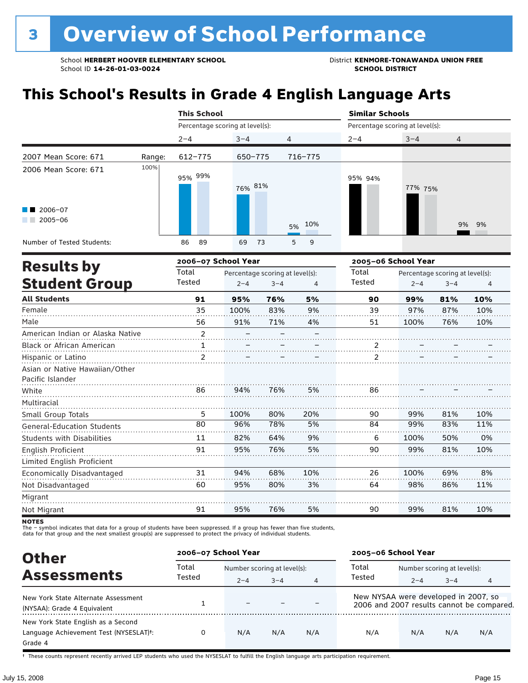# **This School's Results in Grade 4 English Language Arts**

|                                                    |        | <b>This School</b>              |                                 |         | <b>Similar Schools</b>                   |         |       |  |  |
|----------------------------------------------------|--------|---------------------------------|---------------------------------|---------|------------------------------------------|---------|-------|--|--|
|                                                    |        | Percentage scoring at level(s): |                                 |         | Percentage scoring at level(s):          |         |       |  |  |
|                                                    |        | $2 - 4$                         | $3 - 4$                         | 4       | $2 - 4$                                  | $3 - 4$ | 4     |  |  |
| 2007 Mean Score: 671                               | Range: | 612-775                         | 650-775                         | 716-775 |                                          |         |       |  |  |
| 2006 Mean Score: 671<br>$2006 - 07$<br>$2005 - 06$ | 100%   | 95% 99%                         | 76% 81%                         | 5% 10%  | 95% 94%                                  | 77% 75% | 9% 9% |  |  |
| Number of Tested Students:                         |        | 89<br>86                        | 69<br>-73                       | 5<br>9  |                                          |         |       |  |  |
| <b>Results by</b>                                  |        | 2006-07 School Year             |                                 |         | 2005-06 School Year                      |         |       |  |  |
|                                                    |        | Total                           | Percentage scoring at level(s). |         | Total<br>Percentage scoring at level(s). |         |       |  |  |

| RESULLS DY                        | Total          |         | Percentage scoring at level(s): |     |               | Percentage scoring at level(s): |         |     |
|-----------------------------------|----------------|---------|---------------------------------|-----|---------------|---------------------------------|---------|-----|
| <b>Student Group</b>              | Tested         | $2 - 4$ | $3 - 4$                         | 4   | Tested        | $2 - 4$                         | $3 - 4$ | 4   |
| <b>All Students</b>               | 91             | 95%     | 76%                             | 5%  | 90            | 99%                             | 81%     | 10% |
| Female                            | 35             | 100%    | 83%                             | 9%  | 39            | 97%                             | 87%     | 10% |
| Male                              | 56             | 91%     | 71%                             | 4%  | 51            | 100%                            | 76%     | 10% |
| American Indian or Alaska Native  | $\overline{2}$ |         |                                 |     |               |                                 |         |     |
| Black or African American         |                |         |                                 |     |               |                                 |         |     |
| Hispanic or Latino                | $\overline{2}$ |         |                                 |     | $\mathfrak z$ |                                 |         |     |
| Asian or Native Hawaiian/Other    |                |         |                                 |     |               |                                 |         |     |
| Pacific Islander                  |                |         |                                 |     |               |                                 |         |     |
| White                             | 86             | 94%     | 76%                             | 5%  | 86            |                                 |         |     |
| Multiracial                       |                |         |                                 |     |               |                                 |         |     |
| Small Group Totals                | 5              | 100%    | 80%                             | 20% | 90            | 99%                             | 81%     | 10% |
| <b>General-Education Students</b> | 80             | 96%     | 78%                             | 5%  | 84            | 99%                             | 83%     | 11% |
| <b>Students with Disabilities</b> | 11             | 82%     | 64%                             | 9%  | 6             | 100%                            | 50%     | 0%  |
| English Proficient                | 91             | 95%     | 76%                             | 5%  | 90            | 99%                             | 81%     | 10% |
| Limited English Proficient        |                |         |                                 |     |               |                                 |         |     |
| Economically Disadvantaged        | 31             | 94%     | 68%                             | 10% | 26            | 100%                            | 69%     | 8%  |
| Not Disadvantaged                 | 60             | 95%     | 80%                             | 3%  | 64            | 98%                             | 86%     | 11% |
| Migrant                           |                |         |                                 |     |               |                                 |         |     |
| Not Migrant                       | 91             | 95%     | 76%                             | 5%  | 90            | 99%                             | 81%     | 10% |
|                                   |                |         |                                 |     |               |                                 |         |     |

NOTES<br>The – symbol indicates that data for a group of students have been suppressed. If a group has fewer than five students,<br>data for that group and the next smallest group(s) are suppressed to protect the privacy of indi

| <b>Other</b>                                                                                         | 2006-07 School Year |         |                             |                | 2005-06 School Year                  |                             |         |                                           |
|------------------------------------------------------------------------------------------------------|---------------------|---------|-----------------------------|----------------|--------------------------------------|-----------------------------|---------|-------------------------------------------|
|                                                                                                      | Total               |         | Number scoring at level(s): |                |                                      | Number scoring at level(s): |         |                                           |
| <b>Assessments</b>                                                                                   | Tested              | $2 - 4$ | $3 - 4$                     | $\overline{4}$ | Tested                               | $2 - 4$                     | $3 - 4$ | 4                                         |
| New York State Alternate Assessment<br>(NYSAA): Grade 4 Equivalent                                   |                     |         |                             |                | New NYSAA were developed in 2007, so |                             |         | 2006 and 2007 results cannot be compared. |
| New York State English as a Second<br>Language Achievement Test (NYSESLAT) <sup>+</sup> :<br>Grade 4 |                     | N/A     | N/A                         | N/A            | N/A                                  | N/A                         | N/A     | N/A                                       |

† These counts represent recently arrived LEP students who used the NYSESLAT to fulfill the English language arts participation requirement.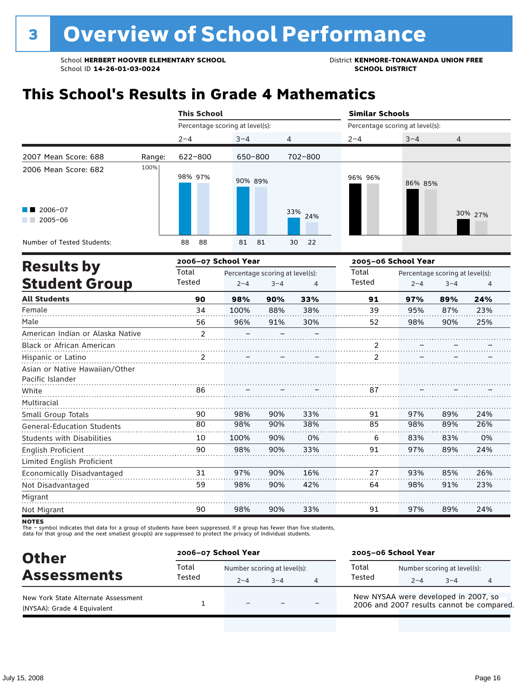# **This School's Results in Grade 4 Mathematics**

|                                           |        | <b>This School</b>              |          |            | <b>Similar Schools</b>          |         |         |  |  |
|-------------------------------------------|--------|---------------------------------|----------|------------|---------------------------------|---------|---------|--|--|
|                                           |        | Percentage scoring at level(s): |          |            | Percentage scoring at level(s): |         |         |  |  |
|                                           |        | $2 - 4$                         | $3 - 4$  | 4          | $2 - 4$                         | $3 - 4$ | 4       |  |  |
| 2007 Mean Score: 688                      | Range: | 622-800                         | 650-800  | 702-800    |                                 |         |         |  |  |
| 2006 Mean Score: 682                      | 100%   | 98% 97%                         | 90% 89%  |            | 96% 96%                         | 86% 85% |         |  |  |
| $\blacksquare$ 2006-07<br>2005-06<br>a ka |        |                                 |          | 33%<br>24% |                                 |         | 30% 27% |  |  |
| Number of Tested Students:                |        | 88<br>88                        | 81<br>81 | 30<br>22   |                                 |         |         |  |  |
|                                           |        |                                 |          |            |                                 |         |         |  |  |

|                                   |                | 2006-07 School Year |                                 |     | 2005-06 School Year |         |                                 |     |
|-----------------------------------|----------------|---------------------|---------------------------------|-----|---------------------|---------|---------------------------------|-----|
| <b>Results by</b>                 | Total          |                     | Percentage scoring at level(s): |     | Total               |         | Percentage scoring at level(s): |     |
| <b>Student Group</b>              | Tested         | $2 - 4$             | $3 - 4$                         | 4   | Tested              | $2 - 4$ | $3 - 4$                         | 4   |
| <b>All Students</b>               | 90             | 98%                 | 90%                             | 33% | 91                  | 97%     | 89%                             | 24% |
| Female                            | 34             | 100%                | 88%                             | 38% | 39                  | 95%     | 87%                             | 23% |
| Male                              | 56             | 96%                 | 91%                             | 30% | 52                  | 98%     | 90%                             | 25% |
| American Indian or Alaska Native  | $\overline{2}$ |                     |                                 |     |                     |         |                                 |     |
| <b>Black or African American</b>  |                |                     |                                 |     |                     |         |                                 |     |
| Hispanic or Latino                | $\mathcal{P}$  |                     |                                 |     | $\mathcal{P}$       |         |                                 |     |
| Asian or Native Hawaiian/Other    |                |                     |                                 |     |                     |         |                                 |     |
| Pacific Islander                  |                |                     |                                 |     |                     |         |                                 |     |
| White                             | 86             |                     |                                 |     | 87                  |         |                                 |     |
| Multiracial                       |                |                     |                                 |     |                     |         |                                 |     |
| Small Group Totals                | 90             | 98%                 | 90%                             | 33% | 91                  | 97%     | 89%                             | 24% |
| <b>General-Education Students</b> | 80             | 98%                 | 90%                             | 38% | 85                  | 98%     | 89%                             | 26% |
| <b>Students with Disabilities</b> | 10             | 100%                | 90%                             | 0%  | 6                   | 83%     | 83%                             | 0%  |
| English Proficient                | 90             | 98%                 | 90%                             | 33% | 91                  | 97%     | 89%                             | 24% |
| Limited English Proficient        |                |                     |                                 |     |                     |         |                                 |     |
| Economically Disadvantaged        | 31             | 97%                 | 90%                             | 16% | 27                  | 93%     | 85%                             | 26% |
| Not Disadvantaged                 | 59             | 98%                 | 90%                             | 42% | 64                  | 98%     | 91%                             | 23% |
| Migrant                           |                |                     |                                 |     |                     |         |                                 |     |
| Not Migrant                       | 90             | 98%                 | 90%                             | 33% | 91                  | 97%     | 89%                             | 24% |

**NOTES** 

| <b>Other</b>                                                       | 2006-07 School Year |                                        |      |                | 2005-06 School Year                                                               |         |                                        |  |  |
|--------------------------------------------------------------------|---------------------|----------------------------------------|------|----------------|-----------------------------------------------------------------------------------|---------|----------------------------------------|--|--|
| <b>Assessments</b>                                                 | Total<br>Tested     | Number scoring at level(s):<br>$2 - 4$ | $-4$ | $\overline{4}$ | Total<br>Tested                                                                   | $2 - 4$ | Number scoring at level(s):<br>$3 - 4$ |  |  |
| New York State Alternate Assessment<br>(NYSAA): Grade 4 Equivalent |                     | $\overline{\phantom{m}}$               |      |                | New NYSAA were developed in 2007, so<br>2006 and 2007 results cannot be compared. |         |                                        |  |  |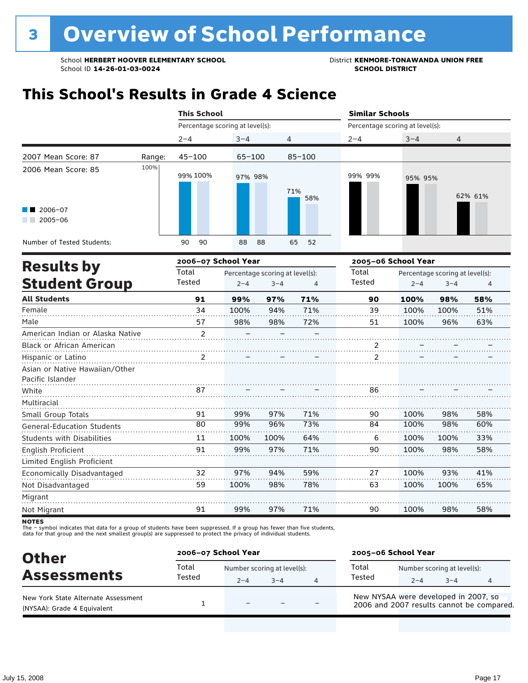## **This School's Results in Grade 4 Science**

| Percentage scoring at level(s):<br>Percentage scoring at level(s):<br>$2 - 4$<br>$3 - 4$<br>$2 - 4$<br>$3 - 4$<br>$\overline{4}$<br>4<br>2007 Mean Score: 87<br>$45 - 100$<br>$85 - 100$<br>$65 - 100$<br>Range: |         |
|------------------------------------------------------------------------------------------------------------------------------------------------------------------------------------------------------------------|---------|
|                                                                                                                                                                                                                  |         |
|                                                                                                                                                                                                                  |         |
|                                                                                                                                                                                                                  |         |
| 100%<br>2006 Mean Score: 85<br>99% 100%<br>99% 99%<br>97% 98%<br>95% 95%<br>71%<br>58%<br>$\blacksquare$ 2006-07<br>2005-06                                                                                      | 62% 61% |
| Number of Tested Students:<br>65<br>90<br>90<br>88<br>88<br>52                                                                                                                                                   |         |

|                                   |                | 2006-07 School Year |                                 | 2005-06 School Year |               |         |                                 |     |
|-----------------------------------|----------------|---------------------|---------------------------------|---------------------|---------------|---------|---------------------------------|-----|
| <b>Results by</b>                 | Total          |                     | Percentage scoring at level(s): |                     | Total         |         | Percentage scoring at level(s): |     |
| <b>Student Group</b>              | Tested         | $2 - 4$             | $3 - 4$                         | 4                   | Tested        | $2 - 4$ | $3 - 4$                         | 4   |
| <b>All Students</b>               | 91             | 99%                 | 97%                             | 71%                 | 90            | 100%    | 98%                             | 58% |
| Female                            | 34             | 100%                | 94%                             | 71%                 | 39            | 100%    | 100%                            | 51% |
| Male                              | 57             | 98%                 | 98%                             | 72%                 | 51            | 100%    | 96%                             | 63% |
| American Indian or Alaska Native  | $\overline{2}$ |                     |                                 |                     |               |         |                                 |     |
| <b>Black or African American</b>  |                |                     |                                 |                     |               |         |                                 |     |
| Hispanic or Latino                | $\mathcal{P}$  |                     |                                 |                     | $\mathcal{P}$ |         |                                 |     |
| Asian or Native Hawaiian/Other    |                |                     |                                 |                     |               |         |                                 |     |
| Pacific Islander                  |                |                     |                                 |                     |               |         |                                 |     |
| White                             | 87             |                     |                                 |                     | 86            |         |                                 |     |
| Multiracial                       |                |                     |                                 |                     |               |         |                                 |     |
| Small Group Totals                | 91             | 99%                 | 97%                             | 71%                 | 90            | 100%    | 98%                             | 58% |
| <b>General-Education Students</b> | 80             | 99%                 | 96%                             | 73%                 | 84            | 100%    | 98%                             | 60% |
| <b>Students with Disabilities</b> | 11             | 100%                | 100%                            | 64%                 | 6             | 100%    | 100%                            | 33% |
| English Proficient                | 91             | 99%                 | 97%                             | 71%                 | 90            | 100%    | 98%                             | 58% |
| Limited English Proficient        |                |                     |                                 |                     |               |         |                                 |     |
| Economically Disadvantaged        | 32             | 97%                 | 94%                             | 59%                 | 27            | 100%    | 93%                             | 41% |
| Not Disadvantaged                 | 59             | 100%                | 98%                             | 78%                 | 63            | 100%    | 100%                            | 65% |
| Migrant                           |                |                     |                                 |                     |               |         |                                 |     |
| Not Migrant                       | 91             | 99%                 | 97%                             | 71%                 | 90            | 100%    | 98%                             | 58% |

**NOTES** 

| <b>Other</b>                                                       | 2006-07 School Year |                                        |      |   | 2005-06 School Year                                                               |                                        |         |  |
|--------------------------------------------------------------------|---------------------|----------------------------------------|------|---|-----------------------------------------------------------------------------------|----------------------------------------|---------|--|
| <b>Assessments</b>                                                 | Total<br>Tested     | Number scoring at level(s):<br>$2 - 4$ | $-4$ | 4 | Total<br>Tested                                                                   | Number scoring at level(s):<br>$2 - 4$ | $3 - 4$ |  |
| New York State Alternate Assessment<br>(NYSAA): Grade 4 Equivalent |                     | $\equiv$                               |      |   | New NYSAA were developed in 2007, so<br>2006 and 2007 results cannot be compared. |                                        |         |  |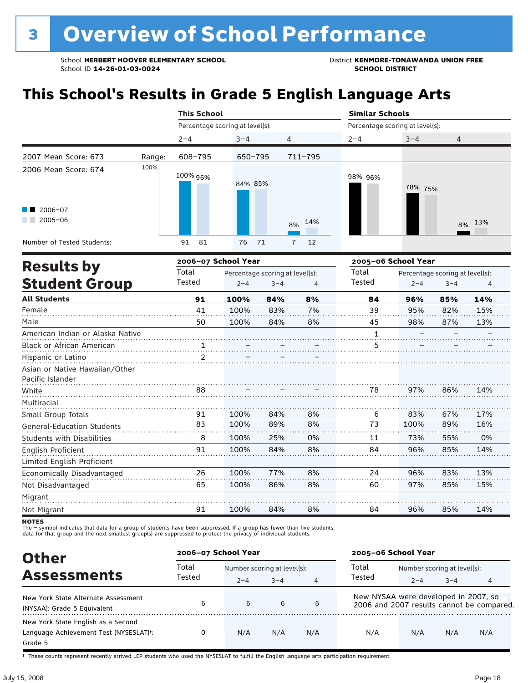# **This School's Results in Grade 5 English Language Arts**

|                                  |        | <b>This School</b> |                                 |                                 |                      | <b>Similar Schools</b>          |                                 |         |        |  |
|----------------------------------|--------|--------------------|---------------------------------|---------------------------------|----------------------|---------------------------------|---------------------------------|---------|--------|--|
|                                  |        |                    | Percentage scoring at level(s): |                                 |                      | Percentage scoring at level(s): |                                 |         |        |  |
|                                  |        | $2 - 4$            | $3 - 4$                         | 4                               |                      | $2 - 4$                         | $3 - 4$                         | 4       |        |  |
| 2007 Mean Score: 673             | Range: | 608-795            | 650-795                         |                                 | $711 - 795$          |                                 |                                 |         |        |  |
| 2006 Mean Score: 674             | 100%   | 100% 96%           | 84% 85%                         |                                 |                      | 98% 96%                         | 78% 75%                         |         |        |  |
| 2006-07<br>$2005 - 06$           |        |                    |                                 |                                 | 14%<br>8%            |                                 |                                 |         | 8% 13% |  |
| Number of Tested Students:       |        | 91<br>81           | 76                              | 71                              | 12<br>$\overline{7}$ |                                 |                                 |         |        |  |
| <b>Results by</b>                |        |                    | 2006-07 School Year             |                                 |                      |                                 | 2005-06 School Year             |         |        |  |
|                                  |        | Total              |                                 | Percentage scoring at level(s): |                      |                                 | Percentage scoring at level(s): |         |        |  |
| <b>Student Group</b>             |        | Tested             | $2 - 4$                         | $3 - 4$                         | 4                    | Tested                          | $2 - 4$                         | $3 - 4$ | 4      |  |
| <b>All Students</b>              |        | 91                 | 100%                            | 84%                             | 8%                   | 84                              | 96%                             | 85%     | 14%    |  |
| Female                           |        | 41                 | 100%                            | 83%                             | 7%                   | 39                              | 95%                             | 82%     | 15%    |  |
| Male                             |        | 50                 | 100%                            | 84%                             | 8%                   | 45                              | 98%                             | 87%     | 13%    |  |
| American Indian or Alaska Native |        |                    |                                 |                                 |                      | 1                               |                                 |         |        |  |
| Black or African American        |        |                    |                                 |                                 |                      | 5                               |                                 |         |        |  |
| Hispanic or Latino               |        | $\mathcal{P}$      |                                 |                                 |                      |                                 |                                 |         |        |  |
| Asian or Native Hawaiian/Other   |        |                    |                                 |                                 |                      |                                 |                                 |         |        |  |

|           | 78 | 97%  | 86% | 14% |
|-----------|----|------|-----|-----|
|           |    |      |     |     |
| 84%<br>8% | 6  | 83%  | 67% | 17% |
| 89%<br>8% | 73 | 100% | 89% | 16% |
| 25%<br>0% | 11 | 73%  | 55% | 0%  |
| 84%<br>8% | 84 | 96%  | 85% | 14% |
|           |    |      |     |     |
| 77%<br>8% | 24 | 96%  | 83% | 13% |
| 86%<br>8% | 60 | 97%  | 85% | 15% |
|           |    |      |     |     |
| 84%<br>8% | 84 | 96%  | 85% | 14% |
|           |    |      |     |     |

**NOTES** 

The – symbol indicates that data for a group of students have been suppressed. If a group has fewer than five students,<br>data for that group and the next smallest group(s) are suppressed to protect the privacy of individual

| <b>Other</b>                                                                            | 2006-07 School Year |         |                             |                | 2005-06 School Year                  |                             |         |                                           |
|-----------------------------------------------------------------------------------------|---------------------|---------|-----------------------------|----------------|--------------------------------------|-----------------------------|---------|-------------------------------------------|
|                                                                                         | Total               |         | Number scoring at level(s): |                |                                      | Number scoring at level(s): |         |                                           |
| <b>Assessments</b>                                                                      | Tested              | $2 - 4$ | $3 - 4$                     | $\overline{4}$ | Tested                               | $2 - 4$                     | $3 - 4$ |                                           |
| New York State Alternate Assessment<br>(NYSAA): Grade 5 Equivalent                      | 6                   | 6       | 6                           | 6              | New NYSAA were developed in 2007, so |                             |         | 2006 and 2007 results cannot be compared. |
| New York State English as a Second<br>Language Achievement Test (NYSESLAT)t:<br>Grade 5 |                     | N/A     | N/A                         | N/A            | N/A                                  | N/A                         | N/A     | N/A                                       |

† These counts represent recently arrived LEP students who used the NYSESLAT to fulfill the English language arts participation requirement.